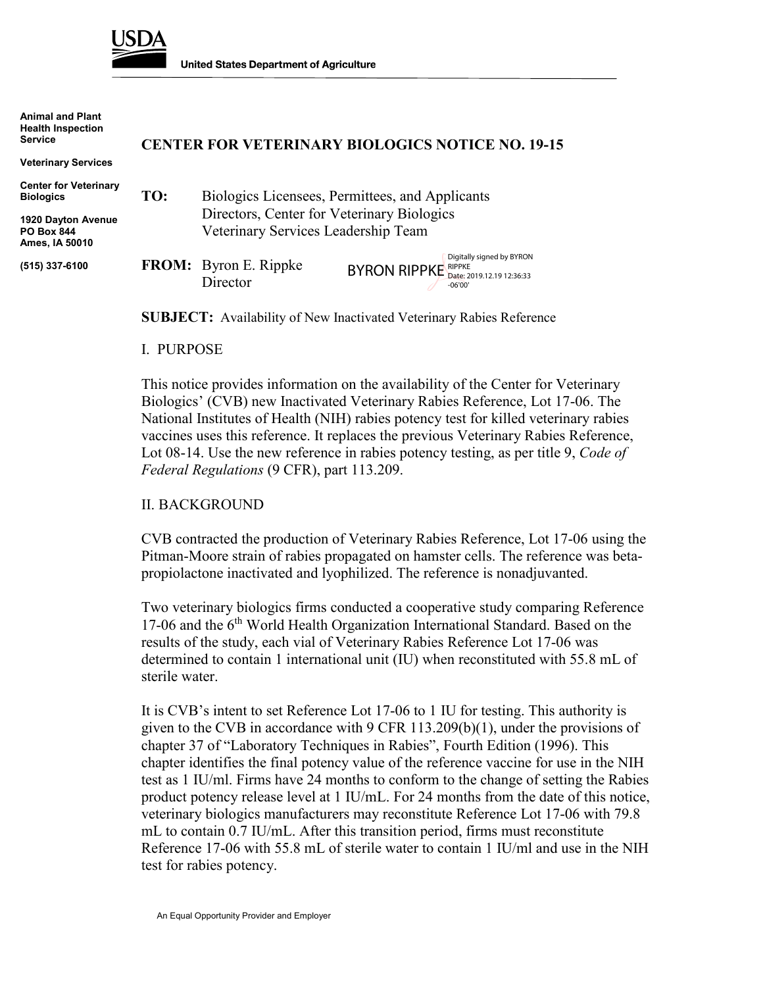

**Animal and Plant**

**United States Department of Agriculture** 

| <u>AUTHOL 8119 LIBRO</u><br><b>Health Inspection</b><br><b>Service</b> | <b>CENTER FOR VETERINARY BIOLOGICS NOTICE NO. 19-15</b> |                                                                                               |                                                                                                |  |
|------------------------------------------------------------------------|---------------------------------------------------------|-----------------------------------------------------------------------------------------------|------------------------------------------------------------------------------------------------|--|
| <b>Veterinary Services</b>                                             |                                                         |                                                                                               |                                                                                                |  |
| <b>Center for Veterinary</b><br><b>Biologics</b>                       | TO:                                                     | Biologics Licensees, Permittees, and Applicants<br>Directors, Center for Veterinary Biologics |                                                                                                |  |
| 1920 Dayton Avenue<br><b>PO Box 844</b><br>Ames, IA 50010              |                                                         | Veterinary Services Leadership Team                                                           |                                                                                                |  |
| (515) 337-6100                                                         |                                                         | <b>FROM:</b> Byron E. Rippke<br>Director                                                      | Digitally signed by BYRON<br><b>BYRON RIPPKE</b> RIPPKE Date: 2019.12.19 12:36:33<br>$-06'00'$ |  |

-06'00'

**SUBJECT:** Availability of New Inactivated Veterinary Rabies Reference

#### I. PURPOSE

This notice provides information on the availability of the Center for Veterinary Biologics' (CVB) new Inactivated Veterinary Rabies Reference, Lot 17-06. The National Institutes of Health (NIH) rabies potency test for killed veterinary rabies vaccines uses this reference. It replaces the previous Veterinary Rabies Reference, Lot 08-14. Use the new reference in rabies potency testing, as per title 9, *Code of Federal Regulations* (9 CFR), part 113.209.

### II. BACKGROUND

CVB contracted the production of Veterinary Rabies Reference, Lot 17-06 using the Pitman-Moore strain of rabies propagated on hamster cells. The reference was betapropiolactone inactivated and lyophilized. The reference is nonadjuvanted.

Two veterinary biologics firms conducted a cooperative study comparing Reference 17-06 and the  $6<sup>th</sup>$  World Health Organization International Standard. Based on the results of the study, each vial of Veterinary Rabies Reference Lot 17-06 was determined to contain 1 international unit (IU) when reconstituted with 55.8 mL of sterile water.

It is CVB's intent to set Reference Lot 17-06 to 1 IU for testing. This authority is given to the CVB in accordance with 9 CFR  $113.209(b)(1)$ , under the provisions of chapter 37 of "Laboratory Techniques in Rabies", Fourth Edition (1996). This chapter identifies the final potency value of the reference vaccine for use in the NIH test as 1 IU/ml. Firms have 24 months to conform to the change of setting the Rabies product potency release level at 1 IU/mL. For 24 months from the date of this notice, veterinary biologics manufacturers may reconstitute Reference Lot 17-06 with 79.8 mL to contain 0.7 IU/mL. After this transition period, firms must reconstitute Reference 17-06 with 55.8 mL of sterile water to contain 1 IU/ml and use in the NIH test for rabies potency.